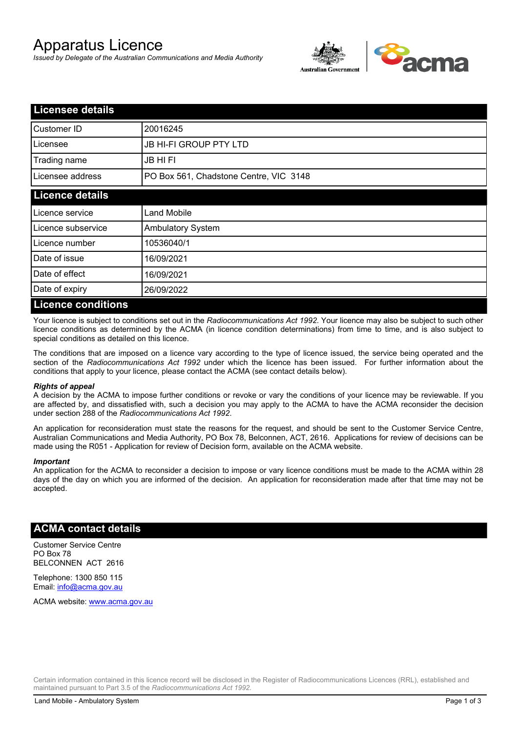# Apparatus Licence

*Issued by Delegate of the Australian Communications and Media Authority*



| <b>Licensee details</b>   |                                        |  |
|---------------------------|----------------------------------------|--|
| Customer ID               | 20016245                               |  |
| Licensee                  | <b>JB HI-FI GROUP PTY LTD</b>          |  |
| Trading name              | <b>JB HIFI</b>                         |  |
| Licensee address          | PO Box 561, Chadstone Centre, VIC 3148 |  |
| <b>Licence details</b>    |                                        |  |
| Licence service           | <b>Land Mobile</b>                     |  |
| Licence subservice        | <b>Ambulatory System</b>               |  |
| Licence number            | 10536040/1                             |  |
| Date of issue             | 16/09/2021                             |  |
| Date of effect            | 16/09/2021                             |  |
| Date of expiry            | 26/09/2022                             |  |
| <b>Licence conditions</b> |                                        |  |

Your licence is subject to conditions set out in the *Radiocommunications Act 1992*. Your licence may also be subject to such other licence conditions as determined by the ACMA (in licence condition determinations) from time to time, and is also subject to special conditions as detailed on this licence.

The conditions that are imposed on a licence vary according to the type of licence issued, the service being operated and the section of the *Radiocommunications Act 1992* under which the licence has been issued. For further information about the conditions that apply to your licence, please contact the ACMA (see contact details below).

#### *Rights of appeal*

A decision by the ACMA to impose further conditions or revoke or vary the conditions of your licence may be reviewable. If you are affected by, and dissatisfied with, such a decision you may apply to the ACMA to have the ACMA reconsider the decision under section 288 of the *Radiocommunications Act 1992*.

An application for reconsideration must state the reasons for the request, and should be sent to the Customer Service Centre, Australian Communications and Media Authority, PO Box 78, Belconnen, ACT, 2616. Applications for review of decisions can be made using the R051 - Application for review of Decision form, available on the ACMA website.

#### *Important*

An application for the ACMA to reconsider a decision to impose or vary licence conditions must be made to the ACMA within 28 days of the day on which you are informed of the decision. An application for reconsideration made after that time may not be accepted.

### **ACMA contact details**

Customer Service Centre PO Box 78 BELCONNEN ACT 2616

Telephone: 1300 850 115 Email: info@acma.gov.au

ACMA website: www.acma.gov.au

Certain information contained in this licence record will be disclosed in the Register of Radiocommunications Licences (RRL), established and maintained pursuant to Part 3.5 of the *Radiocommunications Act 1992.*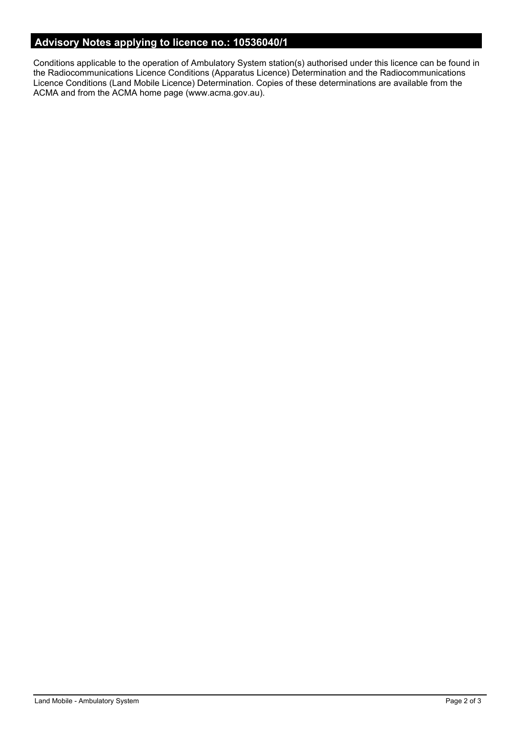# **Advisory Notes applying to licence no.: 10536040/1**

Conditions applicable to the operation of Ambulatory System station(s) authorised under this licence can be found in the Radiocommunications Licence Conditions (Apparatus Licence) Determination and the Radiocommunications Licence Conditions (Land Mobile Licence) Determination. Copies of these determinations are available from the ACMA and from the ACMA home page (www.acma.gov.au).